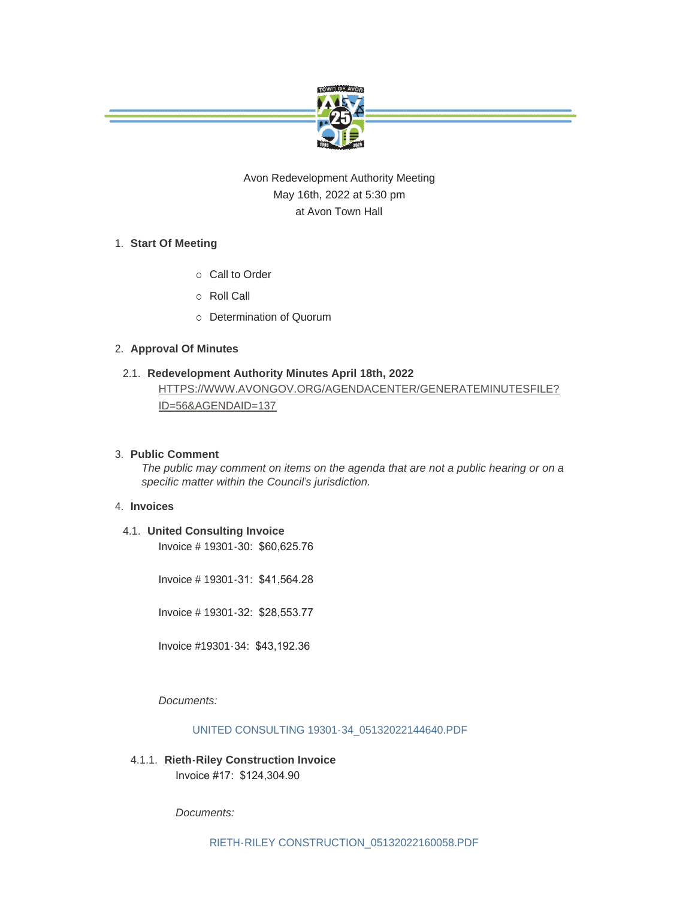

# Avon Redevelopment Authority Meeting May 16th, 2022 at 5:30 pm at Avon Town Hall

### **Start Of Meeting** 1.

- o Call to Order
- ¡ Roll Call
- o Determination of Quorum

### **Approval Of Minutes** 2.

## **Redevelopment Authority Minutes April 18th, 2022** 2.1. [HTTPS://WWW.AVONGOV.ORG/AGENDACENTER/GENERATEMINUTESFILE?](https://www.avongov.org/AgendaCenter/GenerateMinutesFile?id=56&agendaID=137)

ID=56&AGENDAID=137

### **Public Comment** 3.

*The public may comment on items on the agenda that are not a public hearing or on a specific matter within the Council's jurisdiction.*

### **Invoices** 4.

**United Consulting Invoice** 4.1. Invoice # 19301-30: \$60,625.76

Invoice # 19301-31: \$41,564.28

Invoice # 19301-32: \$28,553.77

Invoice #19301-34: \$43,192.36

*Documents:*

### [UNITED CONSULTING 19301-34\\_05132022144640.PDF](https://www.avongov.org/AgendaCenter/ViewFile/Item/526?fileID=377)

**Rieth-Riley Construction Invoice**  4.1.1. Invoice #17: \$124,304.90

*Documents:*